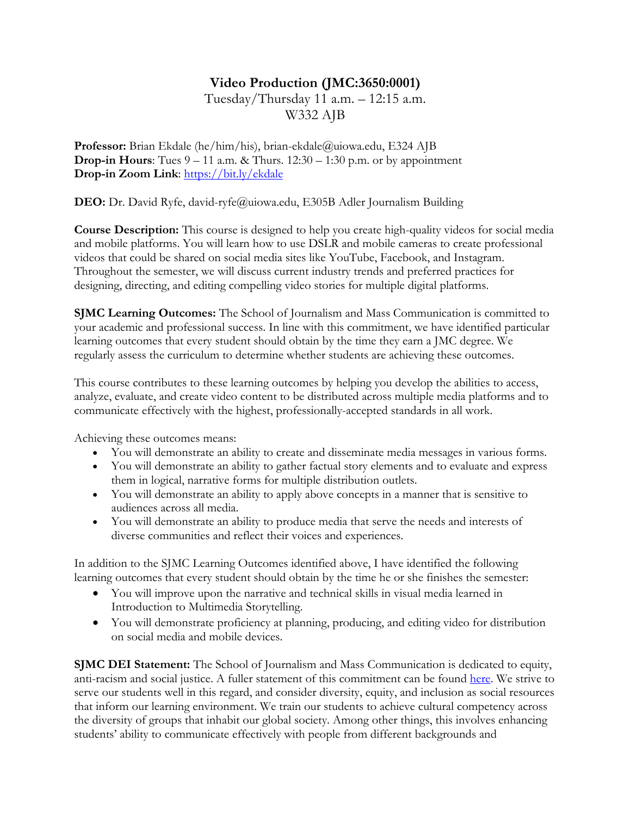# **Video Production (JMC:3650:0001)**

# Tuesday/Thursday 11 a.m. – 12:15 a.m. W332 AJB

**Professor:** Brian Ekdale (he/him/his), brian-ekdale@uiowa.edu, E324 AJB **Drop-in Hours:** Tues  $9 - 11$  a.m. & Thurs.  $12:30 - 1:30$  p.m. or by appointment **Drop-in Zoom Link**: https://bit.ly/ekdale

**DEO:** Dr. David Ryfe, david-ryfe@uiowa.edu, E305B Adler Journalism Building

**Course Description:** This course is designed to help you create high-quality videos for social media and mobile platforms. You will learn how to use DSLR and mobile cameras to create professional videos that could be shared on social media sites like YouTube, Facebook, and Instagram. Throughout the semester, we will discuss current industry trends and preferred practices for designing, directing, and editing compelling video stories for multiple digital platforms.

**SJMC Learning Outcomes:** The School of Journalism and Mass Communication is committed to your academic and professional success. In line with this commitment, we have identified particular learning outcomes that every student should obtain by the time they earn a JMC degree. We regularly assess the curriculum to determine whether students are achieving these outcomes.

This course contributes to these learning outcomes by helping you develop the abilities to access, analyze, evaluate, and create video content to be distributed across multiple media platforms and to communicate effectively with the highest, professionally-accepted standards in all work.

Achieving these outcomes means:

- You will demonstrate an ability to create and disseminate media messages in various forms.
- You will demonstrate an ability to gather factual story elements and to evaluate and express them in logical, narrative forms for multiple distribution outlets.
- You will demonstrate an ability to apply above concepts in a manner that is sensitive to audiences across all media.
- You will demonstrate an ability to produce media that serve the needs and interests of diverse communities and reflect their voices and experiences.

In addition to the SJMC Learning Outcomes identified above, I have identified the following learning outcomes that every student should obtain by the time he or she finishes the semester:

- You will improve upon the narrative and technical skills in visual media learned in Introduction to Multimedia Storytelling.
- You will demonstrate proficiency at planning, producing, and editing video for distribution on social media and mobile devices.

**SJMC DEI Statement:** The School of Journalism and Mass Communication is dedicated to equity, anti-racism and social justice. A fuller statement of this commitment can be found here. We strive to serve our students well in this regard, and consider diversity, equity, and inclusion as social resources that inform our learning environment. We train our students to achieve cultural competency across the diversity of groups that inhabit our global society. Among other things, this involves enhancing students' ability to communicate effectively with people from different backgrounds and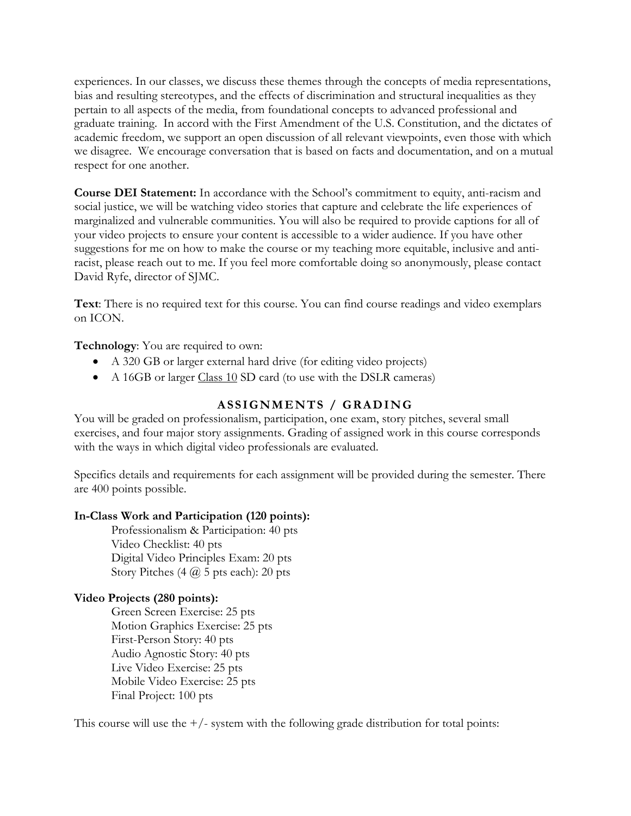experiences. In our classes, we discuss these themes through the concepts of media representations, bias and resulting stereotypes, and the effects of discrimination and structural inequalities as they pertain to all aspects of the media, from foundational concepts to advanced professional and graduate training. In accord with the First Amendment of the U.S. Constitution, and the dictates of academic freedom, we support an open discussion of all relevant viewpoints, even those with which we disagree. We encourage conversation that is based on facts and documentation, and on a mutual respect for one another.

**Course DEI Statement:** In accordance with the School's commitment to equity, anti-racism and social justice, we will be watching video stories that capture and celebrate the life experiences of marginalized and vulnerable communities. You will also be required to provide captions for all of your video projects to ensure your content is accessible to a wider audience. If you have other suggestions for me on how to make the course or my teaching more equitable, inclusive and antiracist, please reach out to me. If you feel more comfortable doing so anonymously, please contact David Ryfe, director of SJMC.

**Text**: There is no required text for this course. You can find course readings and video exemplars on ICON.

**Technology**: You are required to own:

- A 320 GB or larger external hard drive (for editing video projects)
- A 16GB or larger Class 10 SD card (to use with the DSLR cameras)

# **ASSIGNMENTS / GRADING**

You will be graded on professionalism, participation, one exam, story pitches, several small exercises, and four major story assignments. Grading of assigned work in this course corresponds with the ways in which digital video professionals are evaluated.

Specifics details and requirements for each assignment will be provided during the semester. There are 400 points possible.

#### **In-Class Work and Participation (120 points):**

Professionalism & Participation: 40 pts Video Checklist: 40 pts Digital Video Principles Exam: 20 pts Story Pitches  $(4 \overline{\omega})$  5 pts each): 20 pts

#### **Video Projects (280 points):**

Green Screen Exercise: 25 pts Motion Graphics Exercise: 25 pts First-Person Story: 40 pts Audio Agnostic Story: 40 pts Live Video Exercise: 25 pts Mobile Video Exercise: 25 pts Final Project: 100 pts

This course will use the  $+/-$  system with the following grade distribution for total points: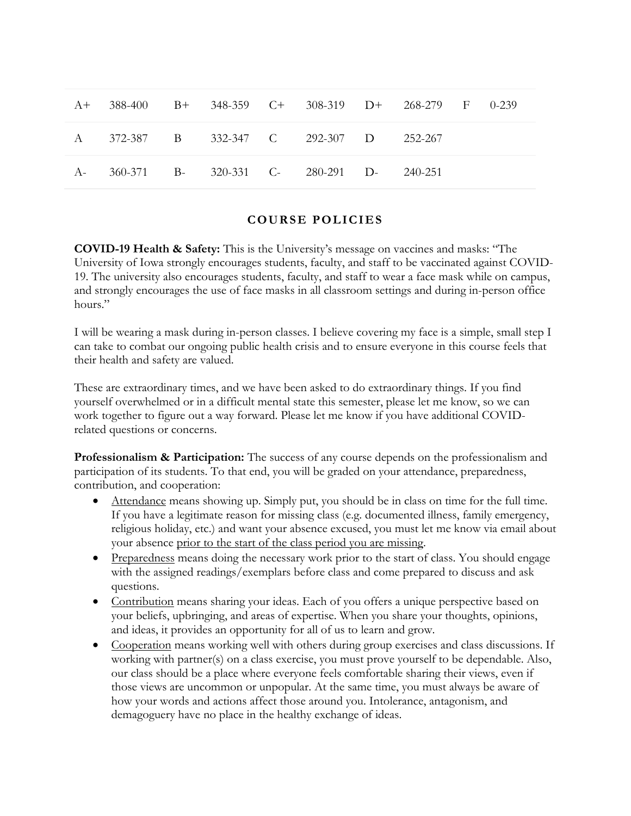| A+ 388-400 B+ 348-359 C+ 308-319 D+ 268-279 F 0-239 |  |  |  |  |
|-----------------------------------------------------|--|--|--|--|
| A 372-387 B 332-347 C 292-307 D 252-267             |  |  |  |  |
| A- 360-371 B- 320-331 C- 280-291 D- 240-251         |  |  |  |  |

#### **COURSE POLICIES**

**COVID-19 Health & Safety:** This is the University's message on vaccines and masks: "The University of Iowa strongly encourages students, faculty, and staff to be vaccinated against COVID-19. The university also encourages students, faculty, and staff to wear a face mask while on campus, and strongly encourages the use of face masks in all classroom settings and during in-person office hours."

I will be wearing a mask during in-person classes. I believe covering my face is a simple, small step I can take to combat our ongoing public health crisis and to ensure everyone in this course feels that their health and safety are valued.

These are extraordinary times, and we have been asked to do extraordinary things. If you find yourself overwhelmed or in a difficult mental state this semester, please let me know, so we can work together to figure out a way forward. Please let me know if you have additional COVIDrelated questions or concerns.

**Professionalism & Participation:** The success of any course depends on the professionalism and participation of its students. To that end, you will be graded on your attendance, preparedness, contribution, and cooperation:

- Attendance means showing up. Simply put, you should be in class on time for the full time. If you have a legitimate reason for missing class (e.g. documented illness, family emergency, religious holiday, etc.) and want your absence excused, you must let me know via email about your absence prior to the start of the class period you are missing.
- Preparedness means doing the necessary work prior to the start of class. You should engage with the assigned readings/exemplars before class and come prepared to discuss and ask questions.
- Contribution means sharing your ideas. Each of you offers a unique perspective based on your beliefs, upbringing, and areas of expertise. When you share your thoughts, opinions, and ideas, it provides an opportunity for all of us to learn and grow.
- Cooperation means working well with others during group exercises and class discussions. If working with partner(s) on a class exercise, you must prove yourself to be dependable. Also, our class should be a place where everyone feels comfortable sharing their views, even if those views are uncommon or unpopular. At the same time, you must always be aware of how your words and actions affect those around you. Intolerance, antagonism, and demagoguery have no place in the healthy exchange of ideas.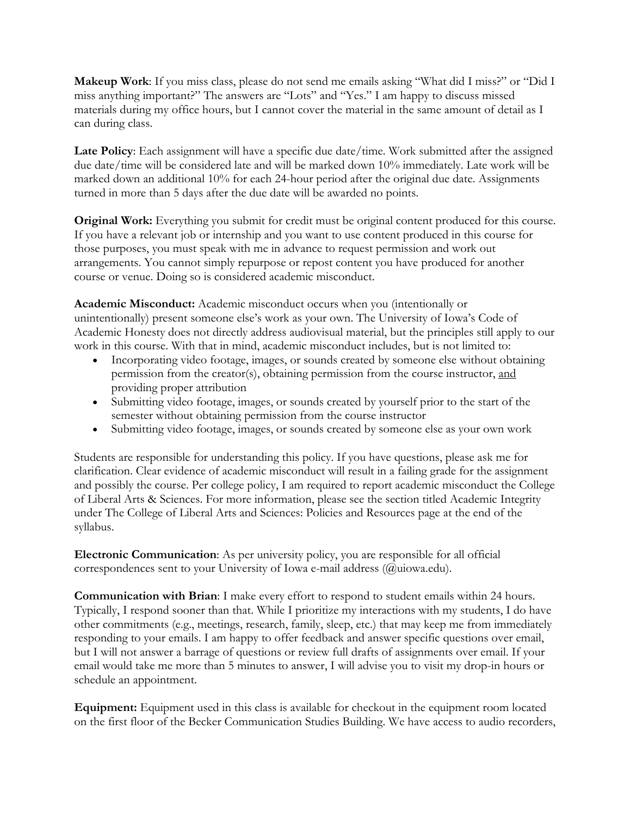**Makeup Work**: If you miss class, please do not send me emails asking "What did I miss?" or "Did I miss anything important?" The answers are "Lots" and "Yes." I am happy to discuss missed materials during my office hours, but I cannot cover the material in the same amount of detail as I can during class.

**Late Policy**: Each assignment will have a specific due date/time. Work submitted after the assigned due date/time will be considered late and will be marked down 10% immediately. Late work will be marked down an additional 10% for each 24-hour period after the original due date. Assignments turned in more than 5 days after the due date will be awarded no points.

**Original Work:** Everything you submit for credit must be original content produced for this course. If you have a relevant job or internship and you want to use content produced in this course for those purposes, you must speak with me in advance to request permission and work out arrangements. You cannot simply repurpose or repost content you have produced for another course or venue. Doing so is considered academic misconduct.

**Academic Misconduct:** Academic misconduct occurs when you (intentionally or unintentionally) present someone else's work as your own. The University of Iowa's Code of Academic Honesty does not directly address audiovisual material, but the principles still apply to our work in this course. With that in mind, academic misconduct includes, but is not limited to:

- Incorporating video footage, images, or sounds created by someone else without obtaining permission from the creator(s), obtaining permission from the course instructor, and providing proper attribution
- Submitting video footage, images, or sounds created by yourself prior to the start of the semester without obtaining permission from the course instructor
- Submitting video footage, images, or sounds created by someone else as your own work

Students are responsible for understanding this policy. If you have questions, please ask me for clarification. Clear evidence of academic misconduct will result in a failing grade for the assignment and possibly the course. Per college policy, I am required to report academic misconduct the College of Liberal Arts & Sciences. For more information, please see the section titled Academic Integrity under The College of Liberal Arts and Sciences: Policies and Resources page at the end of the syllabus.

**Electronic Communication**: As per university policy, you are responsible for all official correspondences sent to your University of Iowa e-mail address (@uiowa.edu).

**Communication with Brian**: I make every effort to respond to student emails within 24 hours. Typically, I respond sooner than that. While I prioritize my interactions with my students, I do have other commitments (e.g., meetings, research, family, sleep, etc.) that may keep me from immediately responding to your emails. I am happy to offer feedback and answer specific questions over email, but I will not answer a barrage of questions or review full drafts of assignments over email. If your email would take me more than 5 minutes to answer, I will advise you to visit my drop-in hours or schedule an appointment.

**Equipment:** Equipment used in this class is available for checkout in the equipment room located on the first floor of the Becker Communication Studies Building. We have access to audio recorders,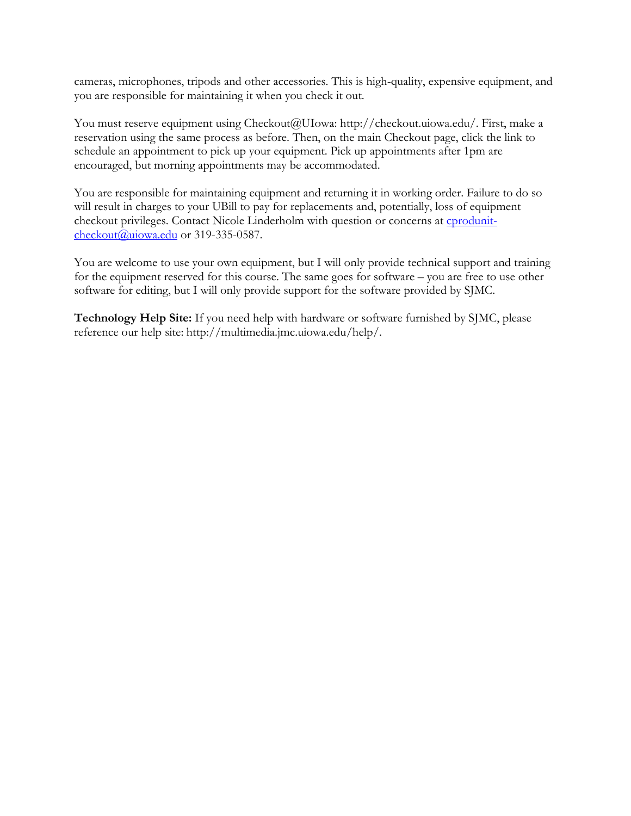cameras, microphones, tripods and other accessories. This is high-quality, expensive equipment, and you are responsible for maintaining it when you check it out.

You must reserve equipment using Checkout@UIowa: http://checkout.uiowa.edu/. First, make a reservation using the same process as before. Then, on the main Checkout page, click the link to schedule an appointment to pick up your equipment. Pick up appointments after 1pm are encouraged, but morning appointments may be accommodated.

You are responsible for maintaining equipment and returning it in working order. Failure to do so will result in charges to your UBill to pay for replacements and, potentially, loss of equipment checkout privileges. Contact Nicole Linderholm with question or concerns at cprodunit $checkout(a)$ uiowa.edu or 319-335-0587.

You are welcome to use your own equipment, but I will only provide technical support and training for the equipment reserved for this course. The same goes for software – you are free to use other software for editing, but I will only provide support for the software provided by SJMC.

**Technology Help Site:** If you need help with hardware or software furnished by SJMC, please reference our help site: http://multimedia.jmc.uiowa.edu/help/.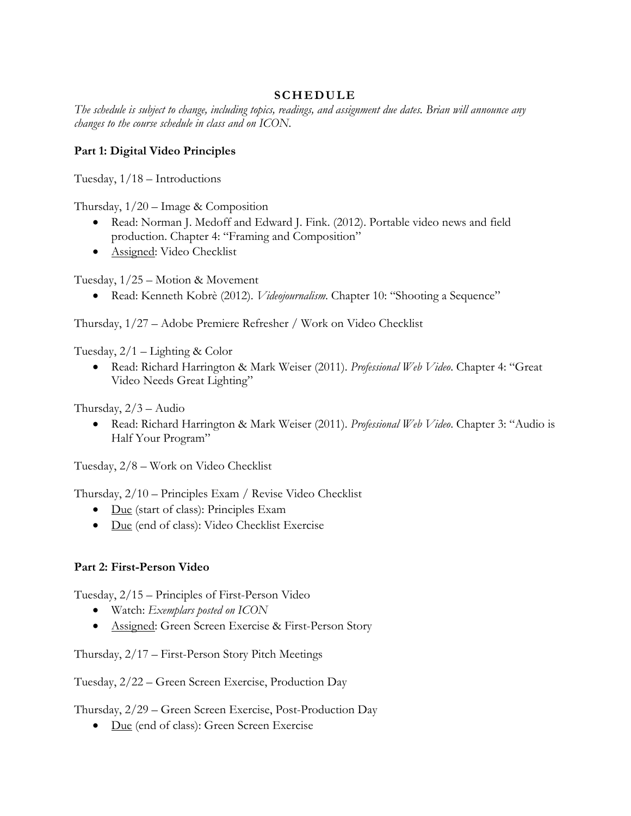## **SCHEDULE**

The schedule is subject to change, including topics, readings, and assignment due dates. Brian will announce any *changes to the course schedule in class and on ICON.*

### **Part 1: Digital Video Principles**

Tuesday, 1/18 – Introductions

Thursday,  $1/20$  – Image & Composition

- Read: Norman J. Medoff and Edward J. Fink. (2012). Portable video news and field production. Chapter 4: "Framing and Composition"
- Assigned: Video Checklist

Tuesday, 1/25 – Motion & Movement

• Read: Kenneth Kobrè (2012). *Videojournalism*. Chapter 10: "Shooting a Sequence"

Thursday, 1/27 – Adobe Premiere Refresher / Work on Video Checklist

Tuesday, 2/1 – Lighting & Color

• Read: Richard Harrington & Mark Weiser (2011). *Professional Web Video*. Chapter 4: "Great Video Needs Great Lighting"

Thursday, 2/3 – Audio

• Read: Richard Harrington & Mark Weiser (2011). *Professional Web Video*. Chapter 3: "Audio is Half Your Program"

Tuesday, 2/8 – Work on Video Checklist

Thursday, 2/10 – Principles Exam / Revise Video Checklist

- Due (start of class): Principles Exam
- Due (end of class): Video Checklist Exercise

#### **Part 2: First-Person Video**

Tuesday, 2/15 – Principles of First-Person Video

- Watch: *Exemplars posted on ICON*
- Assigned: Green Screen Exercise & First-Person Story

Thursday, 2/17 – First-Person Story Pitch Meetings

Tuesday, 2/22 – Green Screen Exercise, Production Day

Thursday, 2/29 – Green Screen Exercise, Post-Production Day

• Due (end of class): Green Screen Exercise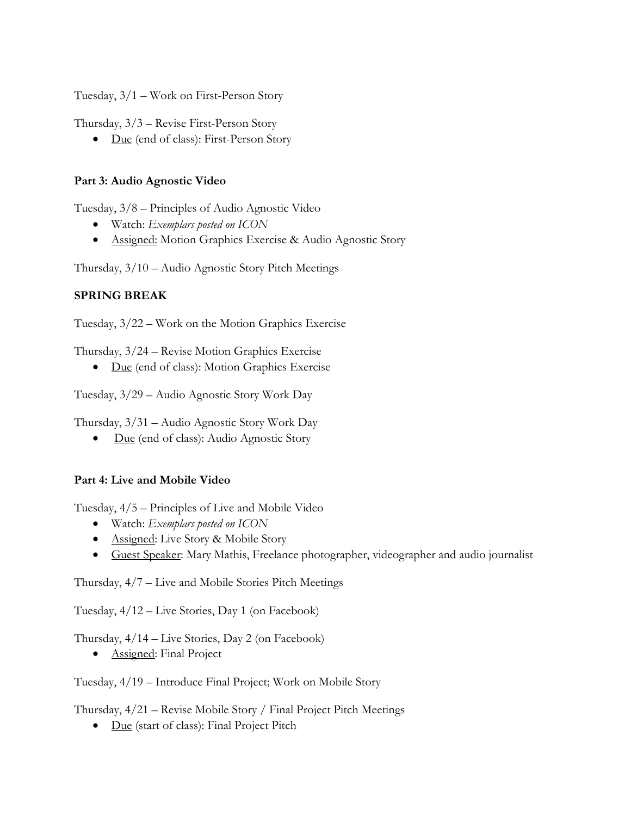Tuesday, 3/1 – Work on First-Person Story

Thursday, 3/3 – Revise First-Person Story

• Due (end of class): First-Person Story

### **Part 3: Audio Agnostic Video**

Tuesday, 3/8 – Principles of Audio Agnostic Video

- Watch: *Exemplars posted on ICON*
- Assigned: Motion Graphics Exercise & Audio Agnostic Story

Thursday, 3/10 – Audio Agnostic Story Pitch Meetings

## **SPRING BREAK**

Tuesday, 3/22 – Work on the Motion Graphics Exercise

Thursday, 3/24 – Revise Motion Graphics Exercise

• Due (end of class): Motion Graphics Exercise

Tuesday, 3/29 – Audio Agnostic Story Work Day

Thursday, 3/31 – Audio Agnostic Story Work Day

• Due (end of class): Audio Agnostic Story

# **Part 4: Live and Mobile Video**

Tuesday, 4/5 – Principles of Live and Mobile Video

- Watch: *Exemplars posted on ICON*
- Assigned: Live Story & Mobile Story
- Guest Speaker: Mary Mathis, Freelance photographer, videographer and audio journalist

Thursday, 4/7 – Live and Mobile Stories Pitch Meetings

Tuesday, 4/12 – Live Stories, Day 1 (on Facebook)

Thursday, 4/14 – Live Stories, Day 2 (on Facebook)

• **Assigned:** Final Project

Tuesday, 4/19 – Introduce Final Project; Work on Mobile Story

Thursday, 4/21 – Revise Mobile Story / Final Project Pitch Meetings

• Due (start of class): Final Project Pitch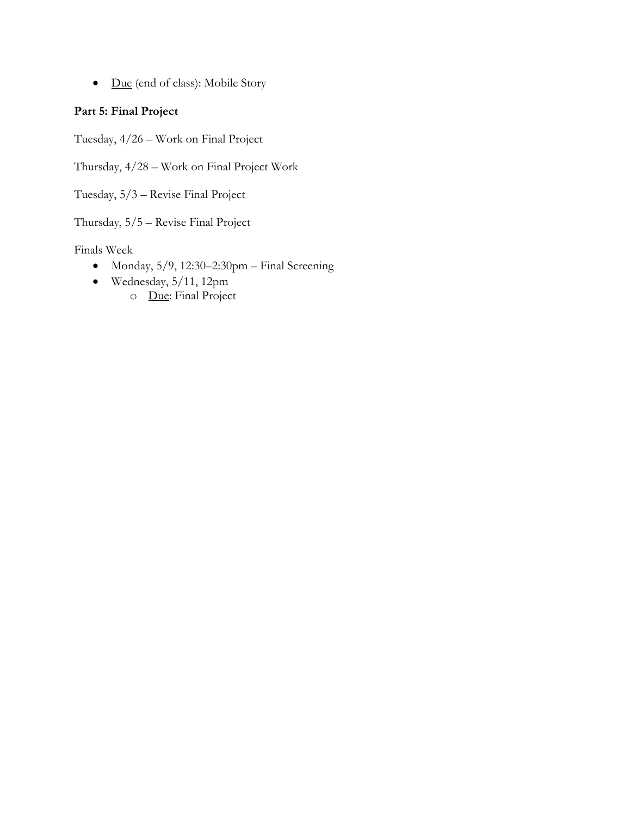• Due (end of class): Mobile Story

# **Part 5: Final Project**

Tuesday, 4/26 – Work on Final Project

Thursday, 4/28 – Work on Final Project Work

Tuesday, 5/3 – Revise Final Project

Thursday, 5/5 – Revise Final Project

Finals Week

- Monday, 5/9, 12:30–2:30pm Final Screening
- Wednesday, 5/11, 12pm o Due: Final Project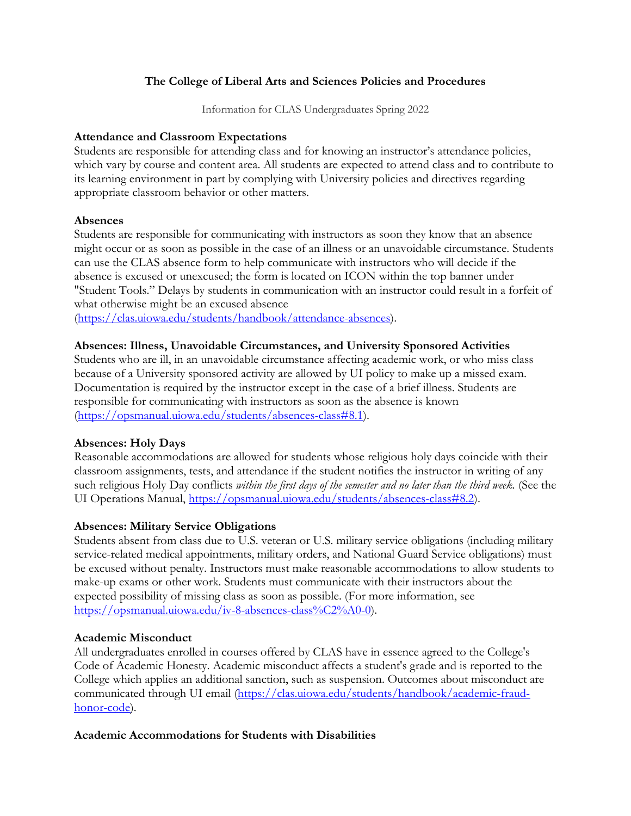## **The College of Liberal Arts and Sciences Policies and Procedures**

Information for CLAS Undergraduates Spring 2022

#### **Attendance and Classroom Expectations**

Students are responsible for attending class and for knowing an instructor's attendance policies, which vary by course and content area. All students are expected to attend class and to contribute to its learning environment in part by complying with University policies and directives regarding appropriate classroom behavior or other matters.

#### **Absences**

Students are responsible for communicating with instructors as soon they know that an absence might occur or as soon as possible in the case of an illness or an unavoidable circumstance. Students can use the CLAS absence form to help communicate with instructors who will decide if the absence is excused or unexcused; the form is located on ICON within the top banner under "Student Tools." Delays by students in communication with an instructor could result in a forfeit of what otherwise might be an excused absence

(https://clas.uiowa.edu/students/handbook/attendance-absences).

#### **Absences: Illness, Unavoidable Circumstances, and University Sponsored Activities**

Students who are ill, in an unavoidable circumstance affecting academic work, or who miss class because of a University sponsored activity are allowed by UI policy to make up a missed exam. Documentation is required by the instructor except in the case of a brief illness. Students are responsible for communicating with instructors as soon as the absence is known (https://opsmanual.uiowa.edu/students/absences-class#8.1).

#### **Absences: Holy Days**

Reasonable accommodations are allowed for students whose religious holy days coincide with their classroom assignments, tests, and attendance if the student notifies the instructor in writing of any such religious Holy Day conflicts *within the first days of the semester and no later than the third week.* (See the UI Operations Manual, https://opsmanual.uiowa.edu/students/absences-class#8.2).

#### **Absences: Military Service Obligations**

Students absent from class due to U.S. veteran or U.S. military service obligations (including military service-related medical appointments, military orders, and National Guard Service obligations) must be excused without penalty. Instructors must make reasonable accommodations to allow students to make-up exams or other work. Students must communicate with their instructors about the expected possibility of missing class as soon as possible. (For more information, see https://opsmanual.uiowa.edu/iv-8-absences-class%C2%A0-0).

#### **Academic Misconduct**

All undergraduates enrolled in courses offered by CLAS have in essence agreed to the College's Code of Academic Honesty. Academic misconduct affects a student's grade and is reported to the College which applies an additional sanction, such as suspension. Outcomes about misconduct are communicated through UI email (https://clas.uiowa.edu/students/handbook/academic-fraudhonor-code).

#### **Academic Accommodations for Students with Disabilities**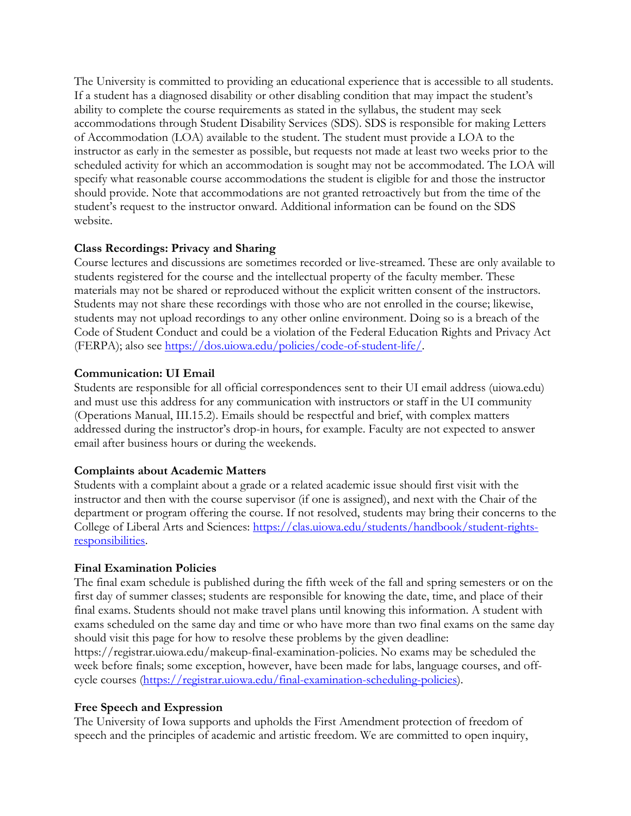The University is committed to providing an educational experience that is accessible to all students. If a student has a diagnosed disability or other disabling condition that may impact the student's ability to complete the course requirements as stated in the syllabus, the student may seek accommodations through Student Disability Services (SDS). SDS is responsible for making Letters of Accommodation (LOA) available to the student. The student must provide a LOA to the instructor as early in the semester as possible, but requests not made at least two weeks prior to the scheduled activity for which an accommodation is sought may not be accommodated. The LOA will specify what reasonable course accommodations the student is eligible for and those the instructor should provide. Note that accommodations are not granted retroactively but from the time of the student's request to the instructor onward. Additional information can be found on the SDS website.

## **Class Recordings: Privacy and Sharing**

Course lectures and discussions are sometimes recorded or live-streamed. These are only available to students registered for the course and the intellectual property of the faculty member. These materials may not be shared or reproduced without the explicit written consent of the instructors. Students may not share these recordings with those who are not enrolled in the course; likewise, students may not upload recordings to any other online environment. Doing so is a breach of the Code of Student Conduct and could be a violation of the Federal Education Rights and Privacy Act (FERPA); also see https://dos.uiowa.edu/policies/code-of-student-life/.

## **Communication: UI Email**

Students are responsible for all official correspondences sent to their UI email address (uiowa.edu) and must use this address for any communication with instructors or staff in the UI community (Operations Manual, III.15.2). Emails should be respectful and brief, with complex matters addressed during the instructor's drop-in hours, for example. Faculty are not expected to answer email after business hours or during the weekends.

#### **Complaints about Academic Matters**

Students with a complaint about a grade or a related academic issue should first visit with the instructor and then with the course supervisor (if one is assigned), and next with the Chair of the department or program offering the course. If not resolved, students may bring their concerns to the College of Liberal Arts and Sciences: https://clas.uiowa.edu/students/handbook/student-rightsresponsibilities.

#### **Final Examination Policies**

The final exam schedule is published during the fifth week of the fall and spring semesters or on the first day of summer classes; students are responsible for knowing the date, time, and place of their final exams. Students should not make travel plans until knowing this information. A student with exams scheduled on the same day and time or who have more than two final exams on the same day should visit this page for how to resolve these problems by the given deadline:

https://registrar.uiowa.edu/makeup-final-examination-policies. No exams may be scheduled the week before finals; some exception, however, have been made for labs, language courses, and offcycle courses (https://registrar.uiowa.edu/final-examination-scheduling-policies).

#### **Free Speech and Expression**

The University of Iowa supports and upholds the First Amendment protection of freedom of speech and the principles of academic and artistic freedom. We are committed to open inquiry,